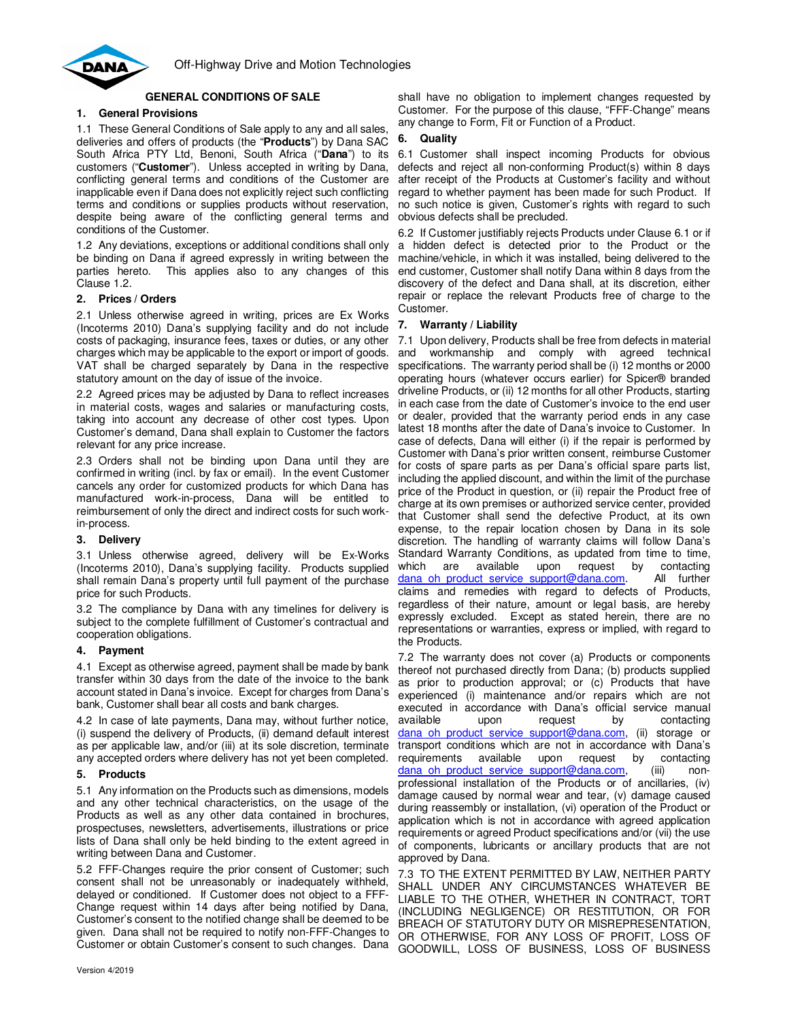

# **GENERAL CONDITIONS OF SALE**

## **1. General Provisions**

1.1 These General Conditions of Sale apply to any and all sales, deliveries and offers of products (the "**Products**") by Dana SAC South Africa PTY Ltd, Benoni, South Africa ("**Dana**") to its customers ("**Customer**"). Unless accepted in writing by Dana, conflicting general terms and conditions of the Customer are inapplicable even if Dana does not explicitly reject such conflicting terms and conditions or supplies products without reservation, despite being aware of the conflicting general terms and conditions of the Customer.

1.2 Any deviations, exceptions or additional conditions shall only be binding on Dana if agreed expressly in writing between the parties hereto. This applies also to any changes of this Clause 1.2.

### **2. Prices / Orders**

2.1 Unless otherwise agreed in writing, prices are Ex Works (Incoterms 2010) Dana's supplying facility and do not include costs of packaging, insurance fees, taxes or duties, or any other charges which may be applicable to the export or import of goods. VAT shall be charged separately by Dana in the respective statutory amount on the day of issue of the invoice.

2.2 Agreed prices may be adjusted by Dana to reflect increases in material costs, wages and salaries or manufacturing costs, taking into account any decrease of other cost types. Upon Customer's demand, Dana shall explain to Customer the factors relevant for any price increase.

2.3 Orders shall not be binding upon Dana until they are confirmed in writing (incl. by fax or email). In the event Customer cancels any order for customized products for which Dana has manufactured work-in-process, Dana will be entitled to reimbursement of only the direct and indirect costs for such workin-process.

### **3. Delivery**

3.1 Unless otherwise agreed, delivery will be Ex-Works (Incoterms 2010), Dana's supplying facility. Products supplied shall remain Dana's property until full payment of the purchase price for such Products.

3.2 The compliance by Dana with any timelines for delivery is subject to the complete fulfillment of Customer's contractual and cooperation obligations.

### **4. Payment**

4.1 Except as otherwise agreed, payment shall be made by bank transfer within 30 days from the date of the invoice to the bank account stated in Dana's invoice. Except for charges from Dana's bank, Customer shall bear all costs and bank charges.

4.2 In case of late payments, Dana may, without further notice, (i) suspend the delivery of Products, (ii) demand default interest as per applicable law, and/or (iii) at its sole discretion, terminate any accepted orders where delivery has not yet been completed.

### **5. Products**

5.1 Any information on the Products such as dimensions, models and any other technical characteristics, on the usage of the Products as well as any other data contained in brochures, prospectuses, newsletters, advertisements, illustrations or price lists of Dana shall only be held binding to the extent agreed in writing between Dana and Customer.

5.2 FFF-Changes require the prior consent of Customer; such consent shall not be unreasonably or inadequately withheld, delayed or conditioned. If Customer does not object to a FFF-Change request within 14 days after being notified by Dana, Customer's consent to the notified change shall be deemed to be given. Dana shall not be required to notify non-FFF-Changes to Customer or obtain Customer's consent to such changes. Dana

shall have no obligation to implement changes requested by Customer. For the purpose of this clause, "FFF-Change" means any change to Form, Fit or Function of a Product.

### **6. Quality**

6.1 Customer shall inspect incoming Products for obvious defects and reject all non-conforming Product(s) within 8 days after receipt of the Products at Customer's facility and without regard to whether payment has been made for such Product. If no such notice is given, Customer's rights with regard to such obvious defects shall be precluded.

6.2 If Customer justifiably rejects Products under Clause 6.1 or if a hidden defect is detected prior to the Product or the machine/vehicle, in which it was installed, being delivered to the end customer, Customer shall notify Dana within 8 days from the discovery of the defect and Dana shall, at its discretion, either repair or replace the relevant Products free of charge to the Customer.

### **7. Warranty / Liability**

7.1 Upon delivery, Products shall be free from defects in material and workmanship and comply with agreed technical specifications. The warranty period shall be (i) 12 months or 2000 operating hours (whatever occurs earlier) for Spicer® branded driveline Products, or (ii) 12 months for all other Products, starting in each case from the date of Customer's invoice to the end user or dealer, provided that the warranty period ends in any case latest 18 months after the date of Dana's invoice to Customer. In case of defects, Dana will either (i) if the repair is performed by Customer with Dana's prior written consent, reimburse Customer for costs of spare parts as per Dana's official spare parts list, including the applied discount, and within the limit of the purchase price of the Product in question, or (ii) repair the Product free of charge at its own premises or authorized service center, provided that Customer shall send the defective Product, at its own expense, to the repair location chosen by Dana in its sole discretion. The handling of warranty claims will follow Dana's Standard Warranty Conditions, as updated from time to time, which are available upon request by contacting dana oh product service support@dana.com. All further claims and remedies with regard to defects of Products, regardless of their nature, amount or legal basis, are hereby expressly excluded. Except as stated herein, there are no representations or warranties, express or implied, with regard to the Products.

7.2 The warranty does not cover (a) Products or components thereof not purchased directly from Dana; (b) products supplied as prior to production approval; or (c) Products that have experienced (i) maintenance and/or repairs which are not executed in accordance with Dana's official service manual available upon request by contacting dana oh product service support@dana.com, (ii) storage or transport conditions which are not in accordance with Dana's requirements available upon request by contacting dana\_oh\_product\_service\_support@dana.com, (iii) nonprofessional installation of the Products or of ancillaries, (iv) damage caused by normal wear and tear, (v) damage caused during reassembly or installation, (vi) operation of the Product or application which is not in accordance with agreed application requirements or agreed Product specifications and/or (vii) the use of components, lubricants or ancillary products that are not approved by Dana.

7.3 TO THE EXTENT PERMITTED BY LAW, NEITHER PARTY SHALL UNDER ANY CIRCUMSTANCES WHATEVER BE LIABLE TO THE OTHER, WHETHER IN CONTRACT, TORT (INCLUDING NEGLIGENCE) OR RESTITUTION, OR FOR BREACH OF STATUTORY DUTY OR MISREPRESENTATION, OR OTHERWISE, FOR ANY LOSS OF PROFIT, LOSS OF GOODWILL, LOSS OF BUSINESS, LOSS OF BUSINESS